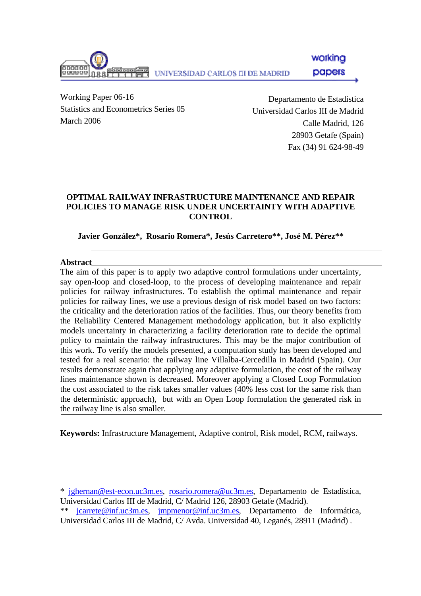working וחמממנ papers UNIVERSIDAD CARLOS III DE MADRID

Working Paper 06-16 Statistics and Econometrics Series 05 March 2006

Departamento de Estadística Universidad Carlos III de Madrid Calle Madrid, 126 28903 Getafe (Spain) Fax (34) 91 624-98-49

## **OPTIMAL RAILWAY INFRASTRUCTURE MAINTENANCE AND REPAIR POLICIES TO MANAGE RISK UNDER UNCERTAINTY WITH ADAPTIVE CONTROL**

**Javier González\*, Rosario Romera\*, Jesús Carretero\*\*, José M. Pérez\*\*** 

### **Abstract**

The aim of this paper is to apply two adaptive control formulations under uncertainty, say open-loop and closed-loop, to the process of developing maintenance and repair policies for railway infrastructures. To establish the optimal maintenance and repair policies for railway lines, we use a previous design of risk model based on two factors: the criticality and the deterioration ratios of the facilities. Thus, our theory benefits from the Reliability Centered Management methodology application, but it also explicitly models uncertainty in characterizing a facility deterioration rate to decide the optimal policy to maintain the railway infrastructures. This may be the major contribution of this work. To verify the models presented, a computation study has been developed and tested for a real scenario: the railway line Villalba-Cercedilla in Madrid (Spain). Our results demonstrate again that applying any adaptive formulation, the cost of the railway lines maintenance shown is decreased. Moreover applying a Closed Loop Formulation the cost associated to the risk takes smaller values (40% less cost for the same risk than the deterministic approach), but with an Open Loop formulation the generated risk in the railway line is also smaller.

**Keywords:** Infrastructure Management, Adaptive control, Risk model, RCM, railways.

\* [jghernan@est-econ.uc3m.es](mailto:jghernan@est-econ.uc3m.es), [rosario.romera@uc3m.es,](mailto:rosario.romera@uc3m.es) Departamento de Estadística, Universidad Carlos III de Madrid, C/ Madrid 126, 28903 Getafe (Madrid).

\*\* [jcarrete@inf.uc3m.es](mailto:jcarrete@inf.uc3m.es), [jmpmenor@inf.uc3m.es,](mailto:jmpmenor@inf.uc3m.es) Departamento de Informática, Universidad Carlos III de Madrid, C/ Avda. Universidad 40, Leganés, 28911 (Madrid) .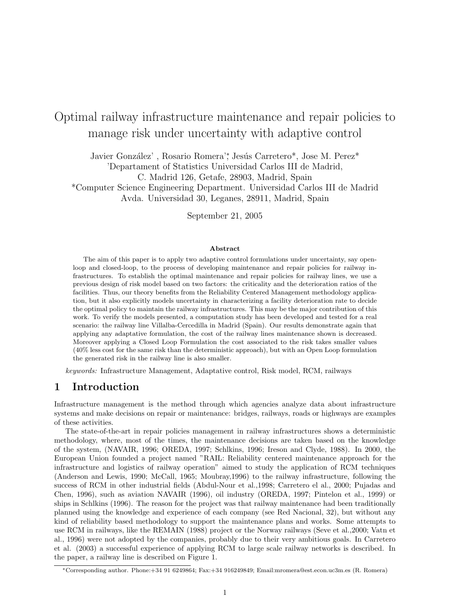# Optimal railway infrastructure maintenance and repair policies to manage risk under uncertainty with adaptive control

Javier González', Rosario Romera'\*, Jesús Carretero\*, Jose M. Perez\* 'Departament of Statistics Universidad Carlos III de Madrid, C. Madrid 126, Getafe, 28903, Madrid, Spain \*Computer Science Engineering Department. Universidad Carlos III de Madrid

Avda. Universidad 30, Leganes, 28911, Madrid, Spain

September 21, 2005

#### Abstract

The aim of this paper is to apply two adaptive control formulations under uncertainty, say openloop and closed-loop, to the process of developing maintenance and repair policies for railway infrastructures. To establish the optimal maintenance and repair policies for railway lines, we use a previous design of risk model based on two factors: the criticality and the deterioration ratios of the facilities. Thus, our theory benefits from the Reliability Centered Management methodology application, but it also explicitly models uncertainty in characterizing a facility deterioration rate to decide the optimal policy to maintain the railway infrastructures. This may be the major contribution of this work. To verify the models presented, a computation study has been developed and tested for a real scenario: the railway line Villalba-Cercedilla in Madrid (Spain). Our results demonstrate again that applying any adaptative formulation, the cost of the railway lines maintenance shown is decreased. Moreover applying a Closed Loop Formulation the cost associated to the risk takes smaller values (40% less cost for the same risk than the deterministic approach), but with an Open Loop formulation the generated risk in the railway line is also smaller.

keywords: Infrastructure Management, Adaptative control, Risk model, RCM, railways

### 1 Introduction

Infrastructure management is the method through which agencies analyze data about infrastructure systems and make decisions on repair or maintenance: bridges, railways, roads or highways are examples of these activities.

The state-of-the-art in repair policies management in railway infrastructures shows a deterministic methodology, where, most of the times, the maintenance decisions are taken based on the knowledge of the system, (NAVAIR, 1996; OREDA, 1997; Schlkins, 1996; Ireson and Clyde, 1988). In 2000, the European Union founded a project named "RAIL: Reliability centered maintenance approach for the infrastructure and logistics of railway operation" aimed to study the application of RCM techniques (Anderson and Lewis, 1990; McCall, 1965; Moubray,1996) to the railway infrastructure, following the success of RCM in other industrial fields (Abdul-Nour et al.,1998; Carretero el al., 2000; Pujadas and Chen, 1996), such as aviation NAVAIR (1996), oil industry (OREDA, 1997; Pintelon et al., 1999) or ships in Schlkins (1996). The reason for the project was that railway maintenance had been traditionally planned using the knowledge and experience of each company (see Red Nacional, 32), but without any kind of reliability based methodology to support the maintenance plans and works. Some attempts to use RCM in railways, like the REMAIN (1988) project or the Norway railways (Seve et al.,2000; Vatn et al., 1996) were not adopted by the companies, probably due to their very ambitious goals. In Carretero et al. (2003) a successful experience of applying RCM to large scale railway networks is described. In the paper, a railway line is described on Figure 1.

<sup>∗</sup>Corresponding author. Phone:+34 91 6249864; Fax:+34 916249849; Email:mromera@est.econ.uc3m.es (R. Romera)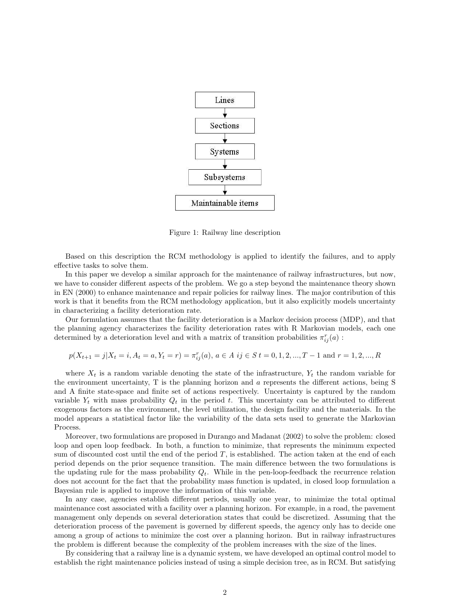

Figure 1: Railway line description

Based on this description the RCM methodology is applied to identify the failures, and to apply effective tasks to solve them.

In this paper we develop a similar approach for the maintenance of railway infrastructures, but now, we have to consider different aspects of the problem. We go a step beyond the maintenance theory shown in EN (2000) to enhance maintenance and repair policies for railway lines. The major contribution of this work is that it benefits from the RCM methodology application, but it also explicitly models uncertainty in characterizing a facility deterioration rate.

Our formulation assumes that the facility deterioration is a Markov decision process (MDP), and that the planning agency characterizes the facility deterioration rates with R Markovian models, each one determined by a deterioration level and with a matrix of transition probabilities  $\pi_{ij}^r(a)$ :

$$
p(X_{t+1} = j | X_t = i, A_t = a, Y_t = r) = \pi_{ij}^r(a), a \in A \text{ if } t \in S \text{ } t = 0, 1, 2, ..., T-1 \text{ and } r = 1, 2, ..., R
$$

where  $X_t$  is a random variable denoting the state of the infrastructure,  $Y_t$  the random variable for the environment uncertainty, T is the planning horizon and a represents the different actions, being S and A finite state-space and finite set of actions respectively. Uncertainty is captured by the random variable  $Y_t$  with mass probability  $Q_t$  in the period t. This uncertainty can be attributed to different exogenous factors as the environment, the level utilization, the design facility and the materials. In the model appears a statistical factor like the variability of the data sets used to generate the Markovian Process.

Moreover, two formulations are proposed in Durango and Madanat (2002) to solve the problem: closed loop and open loop feedback. In both, a function to minimize, that represents the minimum expected sum of discounted cost until the end of the period  $T$ , is established. The action taken at the end of each period depends on the prior sequence transition. The main difference between the two formulations is the updating rule for the mass probability  $Q_t$ . While in the pen-loop-feedback the recurrence relation does not account for the fact that the probability mass function is updated, in closed loop formulation a Bayesian rule is applied to improve the information of this variable.

In any case, agencies establish different periods, usually one year, to minimize the total optimal maintenance cost associated with a facility over a planning horizon. For example, in a road, the pavement management only depends on several deterioration states that could be discretized. Assuming that the deterioration process of the pavement is governed by different speeds, the agency only has to decide one among a group of actions to minimize the cost over a planning horizon. But in railway infrastructures the problem is different because the complexity of the problem increases with the size of the lines.

By considering that a railway line is a dynamic system, we have developed an optimal control model to establish the right maintenance policies instead of using a simple decision tree, as in RCM. But satisfying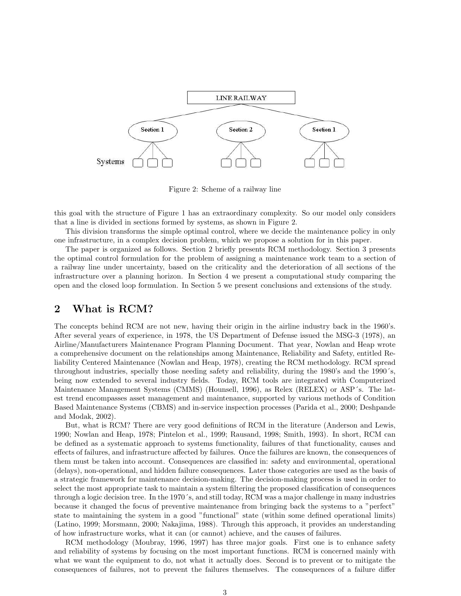

Figure 2: Scheme of a railway line

this goal with the structure of Figure 1 has an extraordinary complexity. So our model only considers that a line is divided in sections formed by systems, as shown in Figure 2.

This division transforms the simple optimal control, where we decide the maintenance policy in only one infrastructure, in a complex decision problem, which we propose a solution for in this paper.

The paper is organized as follows. Section 2 briefly presents RCM methodology. Section 3 presents the optimal control formulation for the problem of assigning a maintenance work team to a section of a railway line under uncertainty, based on the criticality and the deterioration of all sections of the infrastructure over a planning horizon. In Section 4 we present a computational study comparing the open and the closed loop formulation. In Section 5 we present conclusions and extensions of the study.

### 2 What is RCM?

The concepts behind RCM are not new, having their origin in the airline industry back in the 1960's. After several years of experience, in 1978, the US Department of Defense issued the MSG-3 (1978), an Airline/Manufacturers Maintenance Program Planning Document. That year, Nowlan and Heap wrote a comprehensive document on the relationships among Maintenance, Reliability and Safety, entitled Reliability Centered Maintenance (Nowlan and Heap, 1978), creating the RCM methodology. RCM spread throughout industries, specially those needing safety and reliability, during the 1980's and the 1990´s, being now extended to several industry fields. Today, RCM tools are integrated with Computerized Maintenance Management Systems (CMMS) (Hounsell, 1996), as Relex (RELEX) or ASP´s. The latest trend encompasses asset management and maintenance, supported by various methods of Condition Based Maintenance Systems (CBMS) and in-service inspection processes (Parida et al., 2000; Deshpande and Modak, 2002).

But, what is RCM? There are very good definitions of RCM in the literature (Anderson and Lewis, 1990; Nowlan and Heap, 1978; Pintelon et al., 1999; Rausand, 1998; Smith, 1993). In short, RCM can be defined as a systematic approach to systems functionality, failures of that functionality, causes and effects of failures, and infrastructure affected by failures. Once the failures are known, the consequences of them must be taken into account. Consequences are classified in: safety and environmental, operational (delays), non-operational, and hidden failure consequences. Later those categories are used as the basis of a strategic framework for maintenance decision-making. The decision-making process is used in order to select the most appropriate task to maintain a system filtering the proposed classification of consequences through a logic decision tree. In the 1970´s, and still today, RCM was a major challenge in many industries because it changed the focus of preventive maintenance from bringing back the systems to a "perfect" state to maintaining the system in a good "functional" state (within some defined operational limits) (Latino, 1999; Morsmann, 2000; Nakajima, 1988). Through this approach, it provides an understanding of how infrastructure works, what it can (or cannot) achieve, and the causes of failures.

RCM methodology (Moubray, 1996, 1997) has three major goals. First one is to enhance safety and reliability of systems by focusing on the most important functions. RCM is concerned mainly with what we want the equipment to do, not what it actually does. Second is to prevent or to mitigate the consequences of failures, not to prevent the failures themselves. The consequences of a failure differ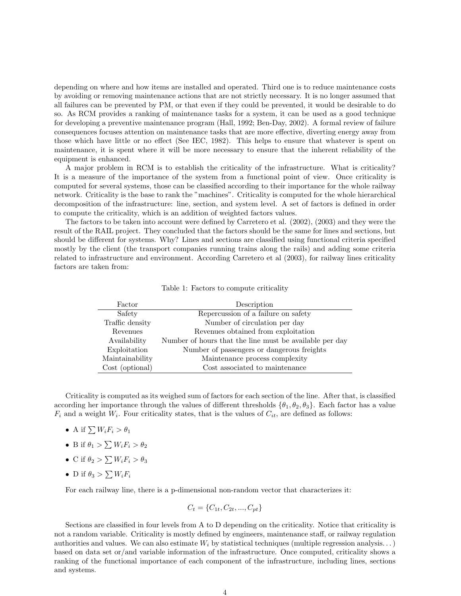depending on where and how items are installed and operated. Third one is to reduce maintenance costs by avoiding or removing maintenance actions that are not strictly necessary. It is no longer assumed that all failures can be prevented by PM, or that even if they could be prevented, it would be desirable to do so. As RCM provides a ranking of maintenance tasks for a system, it can be used as a good technique for developing a preventive maintenance program (Hall, 1992; Ben-Day, 2002). A formal review of failure consequences focuses attention on maintenance tasks that are more effective, diverting energy away from those which have little or no effect (See IEC, 1982). This helps to ensure that whatever is spent on maintenance, it is spent where it will be more necessary to ensure that the inherent reliability of the equipment is enhanced.

A major problem in RCM is to establish the criticality of the infrastructure. What is criticality? It is a measure of the importance of the system from a functional point of view. Once criticality is computed for several systems, those can be classified according to their importance for the whole railway network. Criticality is the base to rank the "machines". Criticality is computed for the whole hierarchical decomposition of the infrastructure: line, section, and system level. A set of factors is defined in order to compute the criticality, which is an addition of weighted factors values.

The factors to be taken into account were defined by Carretero et al. (2002), (2003) and they were the result of the RAIL project. They concluded that the factors should be the same for lines and sections, but should be different for systems. Why? Lines and sections are classified using functional criteria specified mostly by the client (the transport companies running trains along the rails) and adding some criteria related to infrastructure and environment. According Carretero et al (2003), for railway lines criticality factors are taken from:

| Factor          | Description                                             |
|-----------------|---------------------------------------------------------|
| Safety          | Repercussion of a failure on safety                     |
| Traffic density | Number of circulation per day                           |
| Revenues        | Revenues obtained from exploitation                     |
| Availability    | Number of hours that the line must be available per day |
| Exploitation    | Number of passengers or dangerous freights              |
| Maintainability | Maintenance process complexity                          |
| Cost (optional) | Cost associated to maintenance                          |

Table 1: Factors to compute criticality

Criticality is computed as its weighed sum of factors for each section of the line. After that, is classified according her importance through the values of different thresholds  $\{\theta_1, \theta_2, \theta_3\}$ . Each factor has a value  $F_i$  and a weight  $W_i$ . Four criticality states, that is the values of  $C_{it}$ , are defined as follows:

- A if  $\sum W_i F_i > \theta_1$
- B if  $\theta_1 > \sum W_i F_i > \theta_2$
- C if  $\theta_2 > \sum W_i F_i > \theta_3$
- D if  $\theta_3 > \sum W_i F_i$

For each railway line, there is a p-dimensional non-random vector that characterizes it:

$$
C_t = \{C_{1t}, C_{2t}, ..., C_{pt}\}
$$

Sections are classified in four levels from A to D depending on the criticality. Notice that criticality is not a random variable. Criticality is mostly defined by engineers, maintenance staff, or railway regulation authorities and values. We can also estimate  $W_i$  by statistical techniques (multiple regression analysis...) based on data set or/and variable information of the infrastructure. Once computed, criticality shows a ranking of the functional importance of each component of the infrastructure, including lines, sections and systems.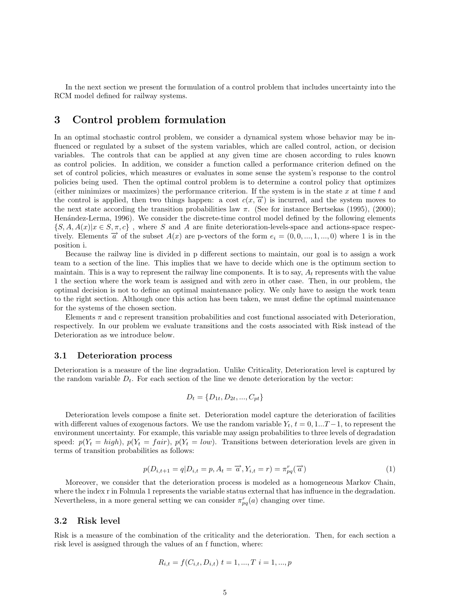In the next section we present the formulation of a control problem that includes uncertainty into the RCM model defined for railway systems.

# 3 Control problem formulation

In an optimal stochastic control problem, we consider a dynamical system whose behavior may be influenced or regulated by a subset of the system variables, which are called control, action, or decision variables. The controls that can be applied at any given time are chosen according to rules known as control policies. In addition, we consider a function called a performance criterion defined on the set of control policies, which measures or evaluates in some sense the system's response to the control policies being used. Then the optimal control problem is to determine a control policy that optimizes (either minimizes or maximizes) the performance criterion. If the system is in the state  $x$  at time  $t$  and the control is applied, then two things happen: a cost  $c(x, \overrightarrow{a})$  is incurred, and the system moves to the next state according the transition probabilities law  $\pi$ . (See for instance Bertsekas (1995), (2000); Henández-Lerma, 1996). We consider the discrete-time control model defined by the following elements  $\{S, A, A(x)|x \in S, \pi, c\}$ , where S and A are finite deterioration-levels-space and actions-space respectively. Elements  $\vec{a}$  of the subset  $A(x)$  are p-vectors of the form  $e_i = (0, 0, ..., 1, ..., 0)$  where 1 is in the position i.

Because the railway line is divided in p different sections to maintain, our goal is to assign a work team to a section of the line. This implies that we have to decide which one is the optimum section to maintain. This is a way to represent the railway line components. It is to say,  $A_t$  represents with the value 1 the section where the work team is assigned and with zero in other case. Then, in our problem, the optimal decision is not to define an optimal maintenance policy. We only have to assign the work team to the right section. Although once this action has been taken, we must define the optimal maintenance for the systems of the chosen section.

Elements  $\pi$  and c represent transition probabilities and cost functional associated with Deterioration, respectively. In our problem we evaluate transitions and the costs associated with Risk instead of the Deterioration as we introduce below.

#### 3.1 Deterioration process

Deterioration is a measure of the line degradation. Unlike Criticality, Deterioration level is captured by the random variable  $D_t$ . For each section of the line we denote deterioration by the vector:

$$
D_t = \{D_{1t}, D_{2t}, ..., C_{pt}\}
$$

Deterioration levels compose a finite set. Deterioration model capture the deterioration of facilities with different values of exogenous factors. We use the random variable  $Y_t$ ,  $t = 0, 1...T-1$ , to represent the environment uncertainty. For example, this variable may assign probabilities to three levels of degradation speed:  $p(Y_t = high)$ ,  $p(Y_t = fair)$ ,  $p(Y_t = low)$ . Transitions between deterioration levels are given in terms of transition probabilities as follows:

$$
p(D_{i,t+1} = q | D_{i,t} = p, A_t = \overrightarrow{a}, Y_{i,t} = r) = \pi_{pq}^r(\overrightarrow{a})
$$
\n
$$
(1)
$$

Moreover, we consider that the deterioration process is modeled as a homogeneous Markov Chain, where the index r in Folmula 1 represents the variable status external that has influence in the degradation. Nevertheless, in a more general setting we can consider  $\pi_{pq}^r(a)$  changing over time.

#### 3.2 Risk level

Risk is a measure of the combination of the criticality and the deterioration. Then, for each section a risk level is assigned through the values of an f function, where:

$$
R_{i,t} = f(C_{i,t}, D_{i,t}) \ t = 1, ..., T \ i = 1, ..., p
$$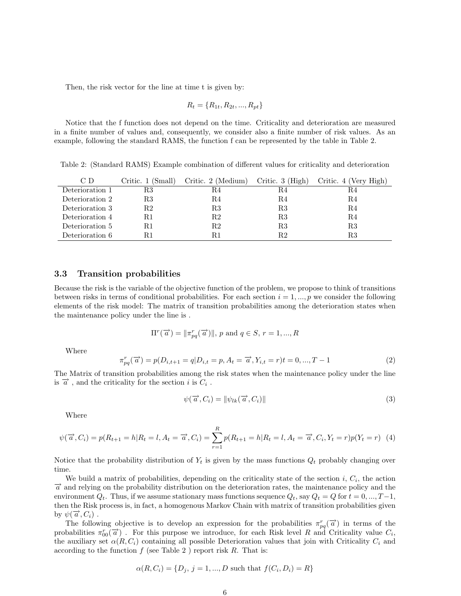Then, the risk vector for the line at time t is given by:

$$
R_t = \{R_{1t}, R_{2t}, ..., R_{pt}\}
$$

Notice that the f function does not depend on the time. Criticality and deterioration are measured in a finite number of values and, consequently, we consider also a finite number of risk values. As an example, following the standard RAMS, the function f can be represented by the table in Table 2.

Table 2: (Standard RAMS) Example combination of different values for criticality and deterioration

| C D             | Critic. 1 (Small) | Critic. 2 (Medium) | Critic. $3$ (High) | Critic. 4 (Very High) |
|-----------------|-------------------|--------------------|--------------------|-----------------------|
| Deterioration 1 | R3                | R4                 | R4                 | R4                    |
| Deterioration 2 | R3                | R4                 | R4                 | R4                    |
| Deterioration 3 | R2                | R3                 | R3                 | R4                    |
| Deterioration 4 | R1                | R2                 | R3                 | R4                    |
| Deterioration 5 | R1                | R2                 | R3                 | R3                    |
| Deterioration 6 | R1                |                    | R2                 | R3                    |

#### 3.3 Transition probabilities

Because the risk is the variable of the objective function of the problem, we propose to think of transitions between risks in terms of conditional probabilities. For each section  $i = 1, ..., p$  we consider the following elements of the risk model: The matrix of transition probabilities among the deterioration states when the maintenance policy under the line is .

$$
\Pi^{r}(\overrightarrow{a}) = \|\pi_{pq}^{r}(\overrightarrow{a})\|, p \text{ and } q \in S, r = 1, ..., R
$$

Where

$$
\pi_{pq}^r(\vec{a}) = p(D_{i,t+1} = q | D_{i,t} = p, A_t = \vec{a}, Y_{i,t} = r | t = 0, ..., T - 1
$$
\n(2)

The Matrix of transition probabilities among the risk states when the maintenance policy under the line is  $\overrightarrow{a}$ , and the criticality for the section *i* is  $C_i$ .

$$
\psi(\vec{a}, C_i) = \|\psi_{lk}(\vec{a}, C_i)\|
$$
\n(3)

Where

$$
\psi(\vec{a}, C_i) = p(R_{t+1} = h | R_t = l, A_t = \vec{a}, C_i) = \sum_{r=1}^{R} p(R_{t+1} = h | R_t = l, A_t = \vec{a}, C_i, Y_t = r) p(Y_t = r)
$$
(4)

Notice that the probability distribution of  $Y_t$  is given by the mass functions  $Q_t$  probably changing over time.

We build a matrix of probabilities, depending on the criticality state of the section  $i, C<sub>i</sub>$ , the action  $\vec{a}$  and relying on the probability distribution on the deterioration rates, the maintenance policy and the environment  $Q_t$ . Thus, if we assume stationary mass functions sequence  $Q_t$ , say  $Q_t = Q$  for  $t = 0, ..., T-1$ , then the Risk process is, in fact, a homogenous Markov Chain with matrix of transition probabilities given by  $\psi(\vec{a}, C_i)$ .

The following objective is to develop an expression for the probabilities  $\pi_{pq}^r(\vec{a})$  in terms of the probabilities  $\pi_{00}^r(\vec{a})$ . For this purpose we introduce, for each Risk level R and Criticality value  $C_i$ , the auxiliary set  $\alpha(R, C_i)$  containing all possible Deterioration values that join with Criticality  $C_i$  and according to the function  $f$  (see Table 2) report risk  $R$ . That is:

$$
\alpha(R, C_i) = \{D_j, j = 1, ..., D \text{ such that } f(C_i, D_i) = R\}
$$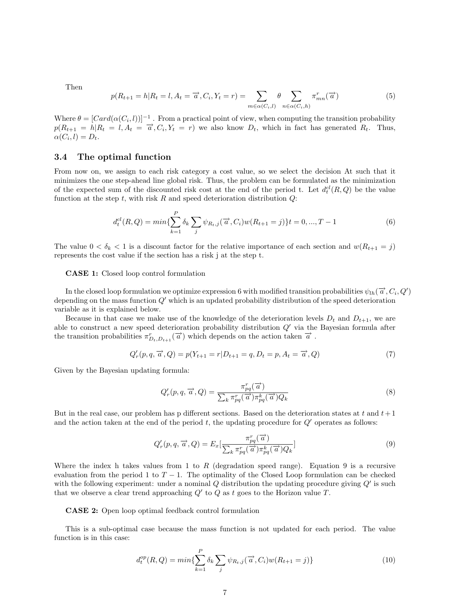Then

$$
p(R_{t+1} = h|R_t = l, A_t = \overrightarrow{a}, C_i, Y_t = r) = \sum_{m \in \alpha(C_i, l)} \theta \sum_{n \in \alpha(C_i, h)} \pi_{mn}^r(\overrightarrow{a})
$$
(5)

Where  $\theta = [Card(\alpha(C_i, l))]^{-1}$ . From a practical point of view, when computing the transition probability  $p(R_{t+1} = h|R_t = l, A_t = \overrightarrow{a}, C_i, Y_t = r)$  we also know  $D_t$ , which in fact has generated  $R_t$ . Thus,  $\alpha(C_i, l) = D_t.$ 

#### 3.4 The optimal function

From now on, we assign to each risk category a cost value, so we select the decision At such that it minimizes the one step-ahead line global risk. Thus, the problem can be formulated as the minimization of the expected sum of the discounted risk cost at the end of the period t. Let  $d_t^{cl}(R,Q)$  be the value function at the step  $t$ , with risk  $R$  and speed deterioration distribution  $Q$ :

$$
d_t^{cl}(R,Q) = min\{\sum_{k=1}^P \delta_k \sum_j \psi_{R_t,j}(\vec{a},C_i)w(R_{t+1}=j)\}t = 0,...,T-1
$$
\n(6)

The value  $0 < \delta_k < 1$  is a discount factor for the relative importance of each section and  $w(R_{t+1} = j)$ represents the cost value if the section has a risk j at the step t.

#### CASE 1: Closed loop control formulation

In the closed loop formulation we optimize expression 6 with modified transition probabilities  $\psi_{lh}(\vec{a},C_i,Q')$ depending on the mass function  $Q'$  which is an updated probability distribution of the speed deterioration variable as it is explained below.

Because in that case we make use of the knowledge of the deterioration levels  $D_t$  and  $D_{t+1}$ , we are able to construct a new speed deterioration probability distribution  $Q'$  via the Bayesian formula after the transition probabilities  $\pi_{D_t,D_{t+1}}^r(\vec{a})$  which depends on the action taken  $\vec{a}$ .

$$
Q'_{r}(p,q,\vec{a},Q) = p(Y_{t+1} = r | D_{t+1} = q, D_t = p, A_t = \vec{a}, Q)
$$
\n(7)

Given by the Bayesian updating formula:

$$
Q'_r(p,q,\overrightarrow{a},Q) = \frac{\pi_{pq}^r(\overrightarrow{a})}{\sum_k \pi_{pq}^r(\overrightarrow{a})\pi_{pq}^k(\overrightarrow{a})Q_k}
$$
(8)

But in the real case, our problem has p different sections. Based on the deterioration states at t and  $t+1$ and the action taken at the end of the period t, the updating procedure for  $Q'$  operates as follows:

$$
Q'_r(p,q,\overrightarrow{a},Q) = E_x\left[\frac{\pi_{pq}^r(\overrightarrow{a})}{\sum_k \pi_{pq}^r(\overrightarrow{a})\pi_{pq}^k(\overrightarrow{a})Q_k}\right]
$$
\n(9)

Where the index h takes values from 1 to R (degradation speed range). Equation 9 is a recursive evaluation from the period 1 to  $T - 1$ . The optimality of the Closed Loop formulation can be checked with the following experiment: under a nominal  $Q$  distribution the updating procedure giving  $Q'$  is such that we observe a clear trend approaching  $Q'$  to  $Q$  as t goes to the Horizon value  $T$ .

#### CASE 2: Open loop optimal feedback control formulation

This is a sub-optimal case because the mass function is not updated for each period. The value function is in this case:

$$
d_t^{op}(R,Q) = min\{\sum_{k=1}^P \delta_k \sum_j \psi_{R_t,j}(\vec{a},C_i)w(R_{t+1}=j)\}
$$
\n(10)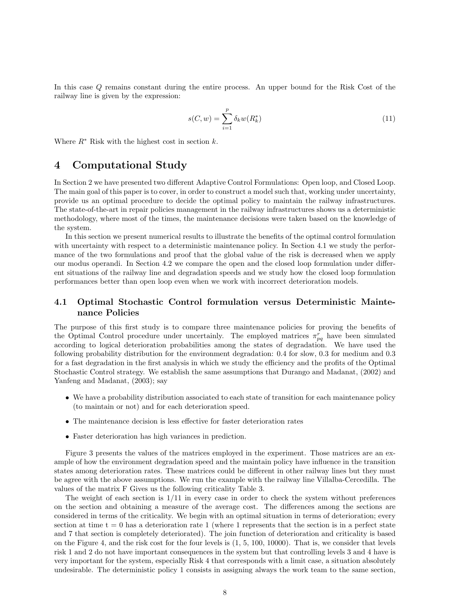In this case Q remains constant during the entire process. An upper bound for the Risk Cost of the railway line is given by the expression:

$$
s(C, w) = \sum_{i=1}^{p} \delta_k w(R_k^*)
$$
\n(11)

Where  $R^*$  Risk with the highest cost in section k.

## 4 Computational Study

In Section 2 we have presented two different Adaptive Control Formulations: Open loop, and Closed Loop. The main goal of this paper is to cover, in order to construct a model such that, working under uncertainty, provide us an optimal procedure to decide the optimal policy to maintain the railway infrastructures. The state-of-the-art in repair policies management in the railway infrastructures shows us a deterministic methodology, where most of the times, the maintenance decisions were taken based on the knowledge of the system.

In this section we present numerical results to illustrate the benefits of the optimal control formulation with uncertainty with respect to a deterministic maintenance policy. In Section 4.1 we study the performance of the two formulations and proof that the global value of the risk is decreased when we apply our modus operandi. In Section 4.2 we compare the open and the closed loop formulation under different situations of the railway line and degradation speeds and we study how the closed loop formulation performances better than open loop even when we work with incorrect deterioration models.

### 4.1 Optimal Stochastic Control formulation versus Deterministic Maintenance Policies

The purpose of this first study is to compare three maintenance policies for proving the benefits of the Optimal Control procedure under uncertainly. The employed matrices  $\pi_{pq}^r$  have been simulated according to logical deterioration probabilities among the states of degradation. We have used the following probability distribution for the environment degradation: 0.4 for slow, 0.3 for medium and 0.3 for a fast degradation in the first analysis in which we study the efficiency and the profits of the Optimal Stochastic Control strategy. We establish the same assumptions that Durango and Madanat, (2002) and Yanfeng and Madanat, (2003); say

- We have a probability distribution associated to each state of transition for each maintenance policy (to maintain or not) and for each deterioration speed.
- The maintenance decision is less effective for faster deterioration rates
- Faster deterioration has high variances in prediction.

Figure 3 presents the values of the matrices employed in the experiment. Those matrices are an example of how the environment degradation speed and the maintain policy have influence in the transition states among deterioration rates. These matrices could be different in other railway lines but they must be agree with the above assumptions. We run the example with the railway line Villalba-Cercedilla. The values of the matrix F Gives us the following criticality Table 3.

The weight of each section is  $1/11$  in every case in order to check the system without preferences on the section and obtaining a measure of the average cost. The differences among the sections are considered in terms of the criticality. We begin with an optimal situation in terms of deterioration; every section at time  $t = 0$  has a deterioration rate 1 (where 1 represents that the section is in a perfect state and 7 that section is completely deteriorated). The join function of deterioration and criticality is based on the Figure 4, and the risk cost for the four levels is (1, 5, 100, 10000). That is, we consider that levels risk 1 and 2 do not have important consequences in the system but that controlling levels 3 and 4 have is very important for the system, especially Risk 4 that corresponds with a limit case, a situation absolutely undesirable. The deterministic policy 1 consists in assigning always the work team to the same section,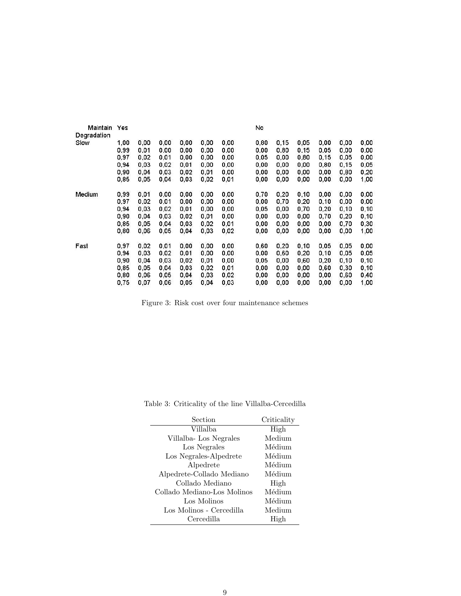| Maintain    | Yes  |      |      |      |      |      | No   |      |      |      |      |      |
|-------------|------|------|------|------|------|------|------|------|------|------|------|------|
| Degradation |      |      |      |      |      |      |      |      |      |      |      |      |
| Slow        | 1.00 | 0.00 | 0.00 | 0.00 | 0.00 | 0.00 | 0.80 | 0.15 | 0.05 | 0.00 | 0.00 | 0,00 |
|             | 0.99 | 0.01 | 0.00 | 0.00 | 0.00 | 0.00 | 0.00 | 0.80 | 0.15 | 0.05 | 0.00 | 0,00 |
|             | 0,97 | 0,02 | 0,01 | 0,00 | 0,00 | 0.00 | 0,05 | 0,00 | 0,80 | 0,15 | 0,05 | 0,00 |
|             | 0.94 | 0.03 | 0.02 | 0.01 | 0.00 | 0.00 | 0.00 | 0.00 | 0.00 | 0.80 | 0.15 | 0,05 |
|             | 0,90 | 0.04 | 0.03 | 0.02 | 0,01 | 0.00 | 0.00 | 0.00 | 0,00 | 0.00 | 0.80 | 0,20 |
|             | 0,85 | 0,05 | 0.04 | 0,03 | 0,02 | 0,01 | 0,00 | 0,00 | 0,00 | 0,00 | 0,00 | 1,00 |
| Medium      | 0.99 | 0.01 | 0.00 | 0.00 | 0.00 | 0.00 | 0,70 | 0.20 | 0,10 | 0.00 | 0.00 | 0,00 |
|             | 0,97 | 0,02 | 0,01 | 0,00 | 0,00 | 0,00 | 0,00 | 0,70 | 0,20 | 0,10 | 0,00 | 0,00 |
|             | 0.94 | 0,03 | 0,02 | 0.01 | 0,00 | 0.00 | 0.05 | 0.00 | 0.70 | 0,20 | 0.10 | 0,10 |
|             | 0.90 | 0,04 | 0.03 | 0.02 | 0,01 | 0,00 | 0.00 | 0.00 | 0,00 | 0.70 | 0,20 | 0,10 |
|             | 0.85 | 0.05 | 0,04 | 0.03 | 0.02 | 0,01 | 0,00 | 0,00 | 0.00 | 0,00 | 0.70 | 0,30 |
|             | 0,80 | 0.06 | 0,05 | 0.04 | 0,03 | 0,02 | 0,00 | 0,00 | 0,00 | 0,00 | 0,00 | 1,00 |
| Fast        | 0,97 | 0.02 | 0,01 | 0,00 | 0,00 | 0.00 | 0,60 | 0,20 | 0,10 | 0,05 | 0.05 | 0,00 |
|             | 0.94 | 0.03 | 0.02 | 0,01 | 0.00 | 0.00 | 0.00 | 0.60 | 0.20 | 0,10 | 0.05 | 0.05 |
|             | 0,90 | 0,04 | 0,03 | 0,02 | 0,01 | 0,00 | 0,05 | 0,00 | 0,60 | 0,20 | 0,10 | 0,10 |
|             | 0,85 | 0,05 | 0,04 | 0.03 | 0,02 | 0,01 | 0,00 | 0,00 | 0,00 | 0,60 | 0,30 | 0,10 |
|             | 0.80 | 0,06 | 0.05 | 0.04 | 0.03 | 0.02 | 0,00 | 0.00 | 0.00 | 0,00 | 0.60 | 0,40 |
|             | 0,75 | 0.07 | 0.06 | 0.05 | 0.04 | 0.03 | 0,00 | 0.00 | 0.00 | 0.00 | 0.00 | 1,00 |

Figure 3: Risk cost over four maintenance schemes

| Section                     | Criticality |
|-----------------------------|-------------|
| Villalba                    | High        |
| Villalba-Los Negrales       | Medium      |
| Los Negrales                | Médium      |
| Los Negrales-Alpedrete      | Médium      |
| Alpedrete                   | Médium      |
| Alpedrete-Collado Mediano   | Médium      |
| Collado Mediano             | High        |
| Collado Mediano-Los Molinos | Médium      |
| Los Molinos                 | Médium      |
| Los Molinos - Cercedilla    | Medium      |
| Cercedilla                  | High        |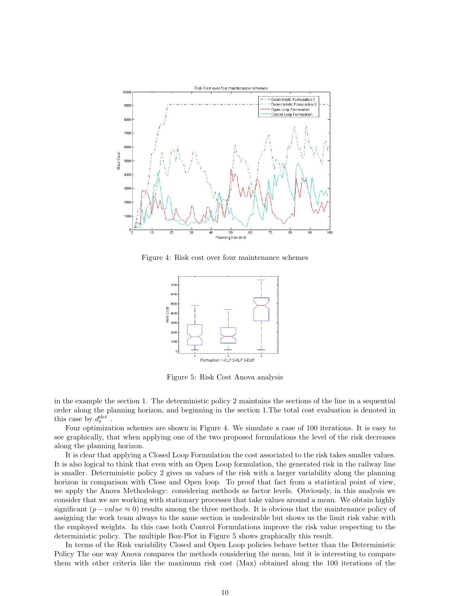

Figure 4: Risk cost over four maintenance schemes



Figure 5: Risk Cost Anova analysis

in the example the section 1. The deterministic policy 2 maintains the sections of the line in a sequential order along the planning horizon, and beginning in the section 1.The total cost evaluation is denoted in this case by  $d_t^{det}$ .

Four optimization schemes are shown in Figure 4. We simulate a case of 100 iterations. It is easy to see graphically, that when applying one of the two proposed formulations the level of the risk decreases along the planning horizon.

It is clear that applying a Closed Loop Formulation the cost associated to the risk takes smaller values. It is also logical to think that even with an Open Loop formulation, the generated risk in the railway line is smaller. Deterministic policy 2 gives us values of the risk with a larger variability along the planning horizon in comparison with Close and Open loop. To proof that fact from a statistical point of view, we apply the Anova Methodology: considering methods as factor levels. Obviously, in this analysis we consider that we are working with stationary processes that take values around a mean. We obtain highly significant  $(p-value \approx 0)$  results among the three methods. It is obvious that the maintenance policy of assigning the work team always to the same section is undesirable but shows us the limit risk value with the employed weights. In this case both Control Formulations improve the risk value respecting to the deterministic policy. The multiple Box-Plot in Figure 5 shows graphically this result.

In terms of the Risk variability Closed and Open Loop policies behave better than the Deterministic Policy The one way Anova compares the methods considering the mean, but it is interesting to compare them with other criteria like the maximum risk cost (Max) obtained along the 100 iterations of the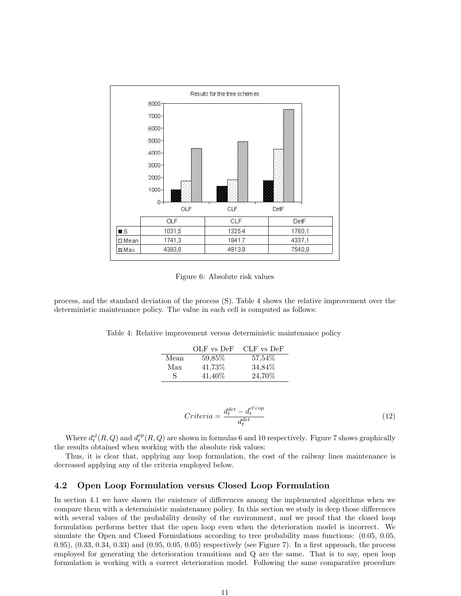

Figure 6: Absolute risk values

process, and the standard deviation of the process (S). Table 4 shows the relative improvement over the deterministic maintenance policy. The value in each cell is computed as follows:

Table 4: Relative improvement versus deterministic maintenance policy

|      | OLF vs DeF | CLF vs DeF |
|------|------------|------------|
| Mean | 59,85%     | 57,54%     |
| Max  | 41,73%     | 34,84%     |
| S    | 41,40\%    | 24,70%     |

$$
Criteria = \frac{d_t^{det} - d_t^{cl \vee op}}{d_t^{det}} \tag{12}
$$

Where  $d_t^{cl}(R,Q)$  and  $d_t^{op}(R,Q)$  are shown in formulas 6 and 10 respectively. Figure 7 shows graphically the results obtained when working with the absolute risk values:

Thus, it is clear that, applying any loop formulation, the cost of the railway lines maintenance is decreased applying any of the criteria employed below.

#### 4.2 Open Loop Formulation versus Closed Loop Formulation

In section 4.1 we have shown the existence of differences among the implemented algorithms when we compare them with a deterministic maintenance policy. In this section we study in deep those differences with several values of the probability density of the environment, and we proof that the closed loop formulation performs better that the open loop even when the deterioration model is incorrect. We simulate the Open and Closed Formulations according to tree probability mass functions: (0.05, 0.05, 0.95), (0.33, 0.34, 0.33) and (0.95, 0.05, 0.05) respectively (see Figure 7). In a first approach, the process employed for generating the deterioration transitions and Q are the same. That is to say, open loop formulation is working with a correct deterioration model. Following the same comparative procedure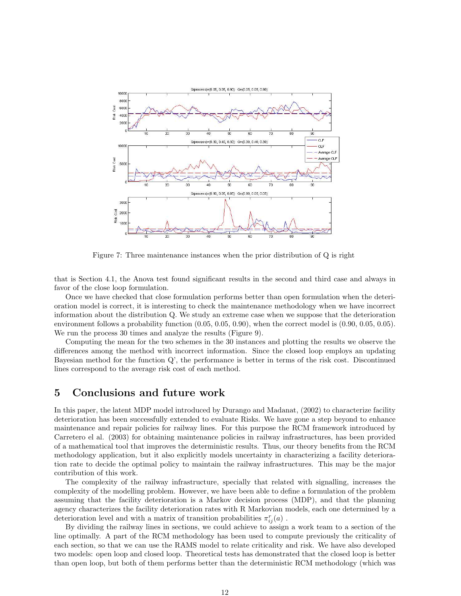

Figure 7: Three maintenance instances when the prior distribution of Q is right

that is Section 4.1, the Anova test found significant results in the second and third case and always in favor of the close loop formulation.

Once we have checked that close formulation performs better than open formulation when the deterioration model is correct, it is interesting to check the maintenance methodology when we have incorrect information about the distribution Q. We study an extreme case when we suppose that the deterioration environment follows a probability function  $(0.05, 0.05, 0.90)$ , when the correct model is  $(0.90, 0.05, 0.05)$ . We run the process 30 times and analyze the results (Figure 9).

Computing the mean for the two schemes in the 30 instances and plotting the results we observe the differences among the method with incorrect information. Since the closed loop employs an updating Bayesian method for the function Q', the performance is better in terms of the risk cost. Discontinued lines correspond to the average risk cost of each method.

### 5 Conclusions and future work

In this paper, the latent MDP model introduced by Durango and Madanat, (2002) to characterize facility deterioration has been successfully extended to evaluate Risks. We have gone a step beyond to enhance maintenance and repair policies for railway lines. For this purpose the RCM framework introduced by Carretero el al. (2003) for obtaining maintenance policies in railway infrastructures, has been provided of a mathematical tool that improves the deterministic results. Thus, our theory benefits from the RCM methodology application, but it also explicitly models uncertainty in characterizing a facility deterioration rate to decide the optimal policy to maintain the railway infrastructures. This may be the major contribution of this work.

The complexity of the railway infrastructure, specially that related with signalling, increases the complexity of the modelling problem. However, we have been able to define a formulation of the problem assuming that the facility deterioration is a Markov decision process (MDP), and that the planning agency characterizes the facility deterioration rates with R Markovian models, each one determined by a deterioration level and with a matrix of transition probabilities  $\pi_{ij}^r(a)$ .

By dividing the railway lines in sections, we could achieve to assign a work team to a section of the line optimally. A part of the RCM methodology has been used to compute previously the criticality of each section, so that we can use the RAMS model to relate criticality and risk. We have also developed two models: open loop and closed loop. Theoretical tests has demonstrated that the closed loop is better than open loop, but both of them performs better than the deterministic RCM methodology (which was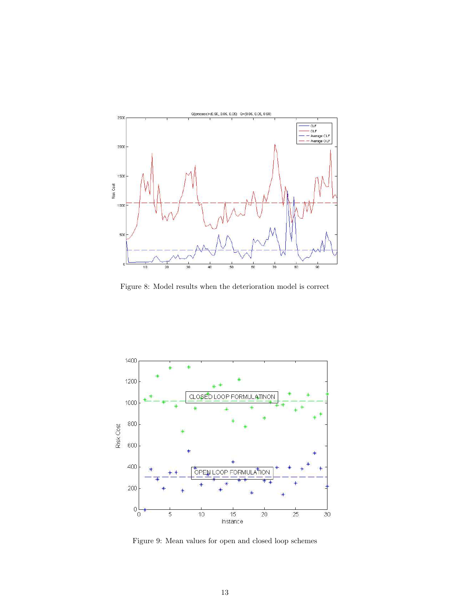

Figure 8: Model results when the deterioration model is correct



Figure 9: Mean values for open and closed loop schemes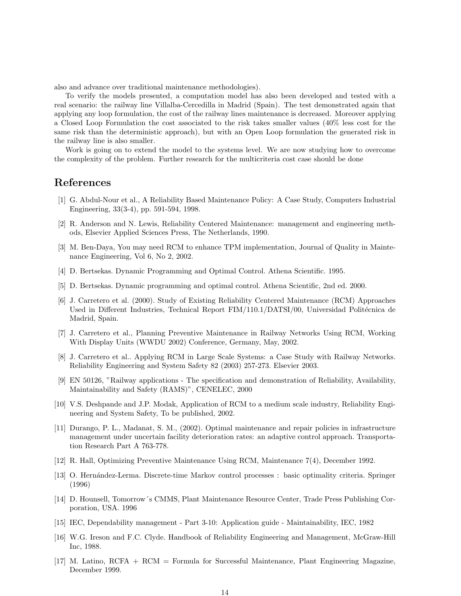also and advance over traditional maintenance methodologies).

To verify the models presented, a computation model has also been developed and tested with a real scenario: the railway line Villalba-Cercedilla in Madrid (Spain). The test demonstrated again that applying any loop formulation, the cost of the railway lines maintenance is decreased. Moreover applying a Closed Loop Formulation the cost associated to the risk takes smaller values (40% less cost for the same risk than the deterministic approach), but with an Open Loop formulation the generated risk in the railway line is also smaller.

Work is going on to extend the model to the systems level. We are now studying how to overcome the complexity of the problem. Further research for the multicriteria cost case should be done

## References

- [1] G. Abdul-Nour et al., A Reliability Based Maintenance Policy: A Case Study, Computers Industrial Engineering, 33(3-4), pp. 591-594, 1998.
- [2] R. Anderson and N. Lewis, Reliability Centered Maintenance: management and engineering methods, Elsevier Applied Sciences Press, The Netherlands, 1990.
- [3] M. Ben-Daya, You may need RCM to enhance TPM implementation, Journal of Quality in Maintenance Engineering, Vol 6, No 2, 2002.
- [4] D. Bertsekas. Dynamic Programming and Optimal Control. Athena Scientific. 1995.
- [5] D. Bertsekas. Dynamic programming and optimal control. Athena Scientific, 2nd ed. 2000.
- [6] J. Carretero et al. (2000). Study of Existing Reliability Centered Maintenance (RCM) Approaches Used in Different Industries, Technical Report FIM/110.1/DATSI/00, Universidad Politécnica de Madrid, Spain.
- [7] J. Carretero et al., Planning Preventive Maintenance in Railway Networks Using RCM, Working With Display Units (WWDU 2002) Conference, Germany, May, 2002.
- [8] J. Carretero et al.. Applying RCM in Large Scale Systems: a Case Study with Railway Networks. Reliability Engineering and System Safety 82 (2003) 257-273. Elsevier 2003.
- [9] EN 50126, "Railway applications The specification and demonstration of Reliability, Availability, Maintainability and Safety (RAMS)", CENELEC, 2000
- [10] V.S. Deshpande and J.P. Modak, Application of RCM to a medium scale industry, Reliability Engineering and System Safety, To be published, 2002.
- [11] Durango, P. L., Madanat, S. M., (2002). Optimal maintenance and repair policies in infrastructure management under uncertain facility deterioration rates: an adaptive control approach. Transportation Research Part A 763-778.
- [12] R. Hall, Optimizing Preventive Maintenance Using RCM, Maintenance 7(4), December 1992.
- [13] O. Hernández-Lerma. Discrete-time Markov control processes : basic optimality criteria. Springer (1996)
- [14] D. Hounsell, Tomorrow´s CMMS, Plant Maintenance Resource Center, Trade Press Publishing Corporation, USA. 1996
- [15] IEC, Dependability management Part 3-10: Application guide Maintainability, IEC, 1982
- [16] W.G. Ireson and F.C. Clyde. Handbook of Reliability Engineering and Management, McGraw-Hill Inc, 1988.
- [17] M. Latino, RCFA + RCM = Formula for Successful Maintenance, Plant Engineering Magazine, December 1999.